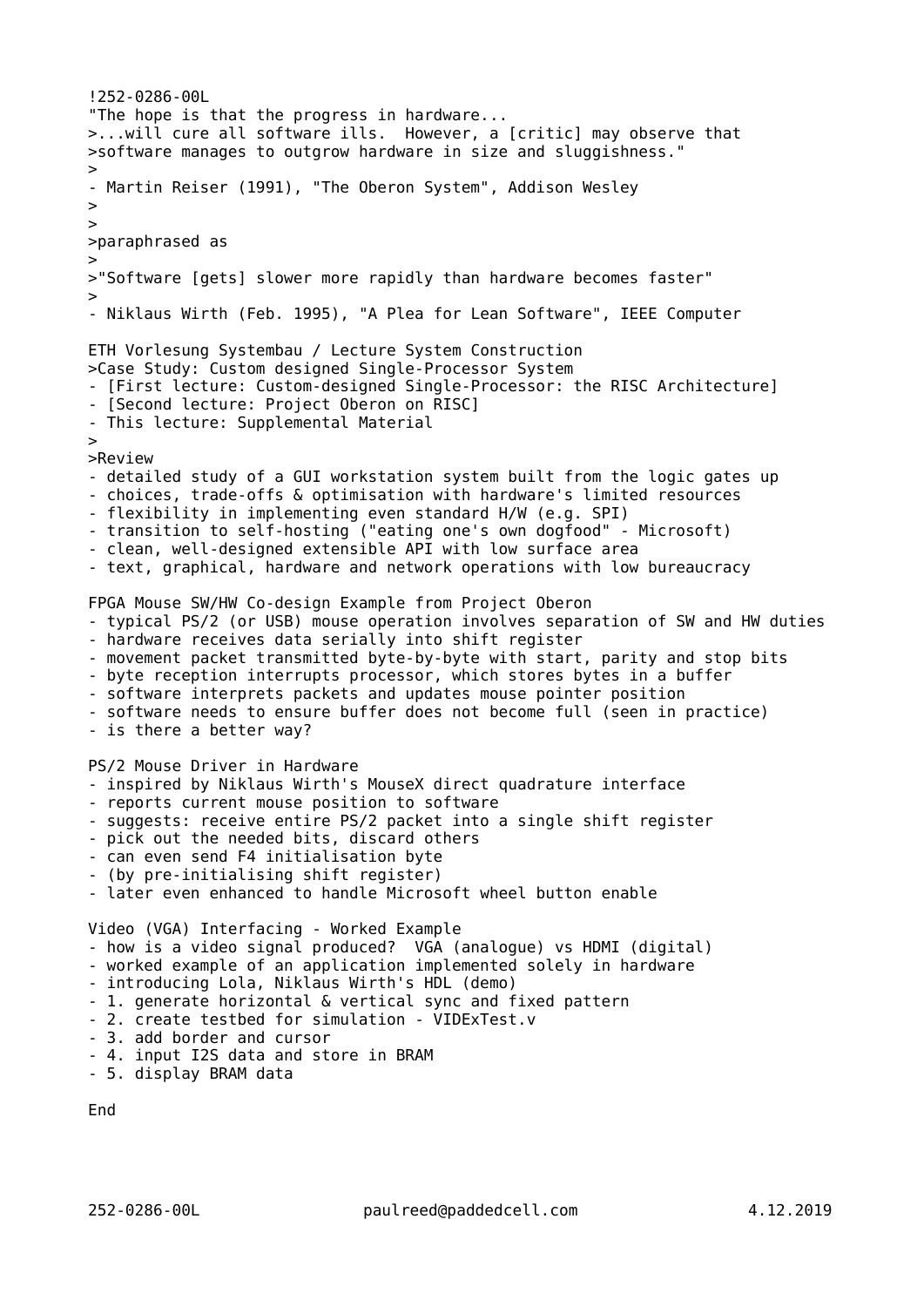```
!252-0286-00L
"The hope is that the progress in hardware...
>...will cure all software ills. However, a [critic] may observe that
>software manages to outgrow hardware in size and sluggishness."
>
- Martin Reiser (1991), "The Oberon System", Addison Wesley
>
>
>paraphrased as
>
>"Software [gets] slower more rapidly than hardware becomes faster"
>
- Niklaus Wirth (Feb. 1995), "A Plea for Lean Software", IEEE Computer
ETH Vorlesung Systembau / Lecture System Construction
>Case Study: Custom designed Single-Processor System
- [First lecture: Custom-designed Single-Processor: the RISC Architecture]
- [Second lecture: Project Oberon on RISC]
- This lecture: Supplemental Material
\ddot{\phantom{0}}>Review
- detailed study of a GUI workstation system built from the logic gates up
- choices, trade-offs & optimisation with hardware's limited resources
- flexibility in implementing even standard H/W (e.g. SPI)
- transition to self-hosting ("eating one's own dogfood" - Microsoft)
- clean, well-designed extensible API with low surface area
- text, graphical, hardware and network operations with low bureaucracy
FPGA Mouse SW/HW Co-design Example from Project Oberon
- typical PS/2 (or USB) mouse operation involves separation of SW and HW duties
- hardware receives data serially into shift register
- movement packet transmitted byte-by-byte with start, parity and stop bits
- byte reception interrupts processor, which stores bytes in a buffer
- software interprets packets and updates mouse pointer position
- software needs to ensure buffer does not become full (seen in practice)
- is there a better way?
PS/2 Mouse Driver in Hardware
- inspired by Niklaus Wirth's MouseX direct quadrature interface
- reports current mouse position to software
- suggests: receive entire PS/2 packet into a single shift register
- pick out the needed bits, discard others
- can even send F4 initialisation byte
- (by pre-initialising shift register)
- later even enhanced to handle Microsoft wheel button enable
Video (VGA) Interfacing - Worked Example
- how is a video signal produced? VGA (analogue) vs HDMI (digital)
- worked example of an application implemented solely in hardware
- introducing Lola, Niklaus Wirth's HDL (demo)
- 1. generate horizontal & vertical sync and fixed pattern
- 2. create testbed for simulation - VIDExTest.v
- 3. add border and cursor
- 4. input I2S data and store in BRAM
```
- 5. display BRAM data

End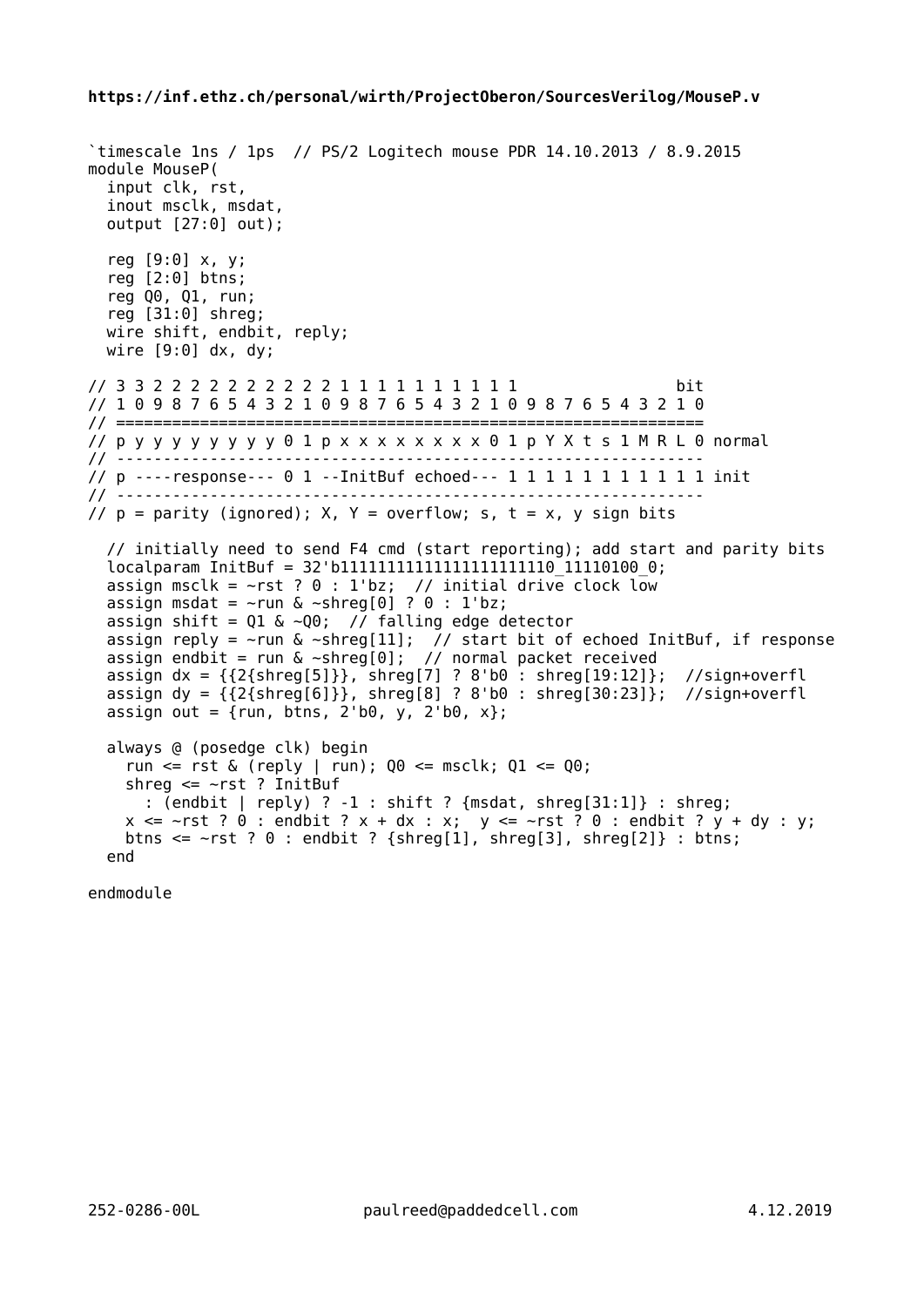## **https://inf.ethz.ch/personal/wirth/ProjectOberon/SourcesVerilog/MouseP.v**

```
`timescale 1ns / 1ps // PS/2 Logitech mouse PDR 14.10.2013 / 8.9.2015
module MouseP(
   input clk, rst,
   inout msclk, msdat,
  output [27:0] out);
   reg [9:0] x, y;
   reg [2:0] btns;
   reg Q0, Q1, run;
   reg [31:0] shreg;
  wire shift, endbit, reply;
  wire [9:0] dx, dy;
// 3 3 2 2 2 2 2 2 2 2 2 2 1 1 1 1 1 1 1 1 1 1 bit
// 1 0 9 8 7 6 5 4 3 2 1 0 9 8 7 6 5 4 3 2 1 0 9 8 7 6 5 4 3 2 1 0
// ===============================================================
// p y y y y y y y y 0 1 p x x x x x x x x 0 1 p Y X t s 1 M R L 0 normal
// ---------------------------------------------------------------
// p ----response--- 0 1 --InitBuf echoed--- 1 1 1 1 1 1 1 1 1 1 1 init
// ---------------------------------------------------------------
// p = parity (ignored); X, Y = overflow; s, t = x, y sign bits
   // initially need to send F4 cmd (start reporting); add start and parity bits
 localparam InitBuf = 32'b111111111111111111111111110 11110100 0;
assign msclk = \simrst ? 0 : 1'bz; // initial drive clock low
assign msdat = \simrun & \simshreg[0] ? 0 : 1'bz;
 assign shift = Q1 \& \sim Q0; // falling edge detector
 assign reply = \simrun & \simshreg[11]; // start bit of echoed InitBuf, if response
 assign endbit = run \& ~shreg[0]; // normal packet received
 assign dx = \{\{2\{\text{shreg}[5]\}\}\, shreg[7] ? 8'b0 : shreg[19:12]\}\; //sign+overfl
  assign dy = {{2{shreg[6]}}, shreg[8] ? 8'b0 : shreg[30:23]}; //sign+overfl
 assign out = \{run, \text{btns}, 2'b0, y, 2'b0, x\}; always @ (posedge clk) begin
    run <= rst & (reply | run); 00 \le msclk; 01 \le 00;
    shreg \leq -rst ? InitBuf
      : (endbit | reply) ? -1 : shift ? {msdat, shreg[31:1]} : shreg;
    x \le -rst ? 0 : endbit ? x + dx : x; y \le -rst ? 0 : endbit ? y + dy : y;
    btns \le \simrst ? 0 : endbit ? {shreg[1], shreg[3], shreg[2]} : btns;
  end
```
endmodule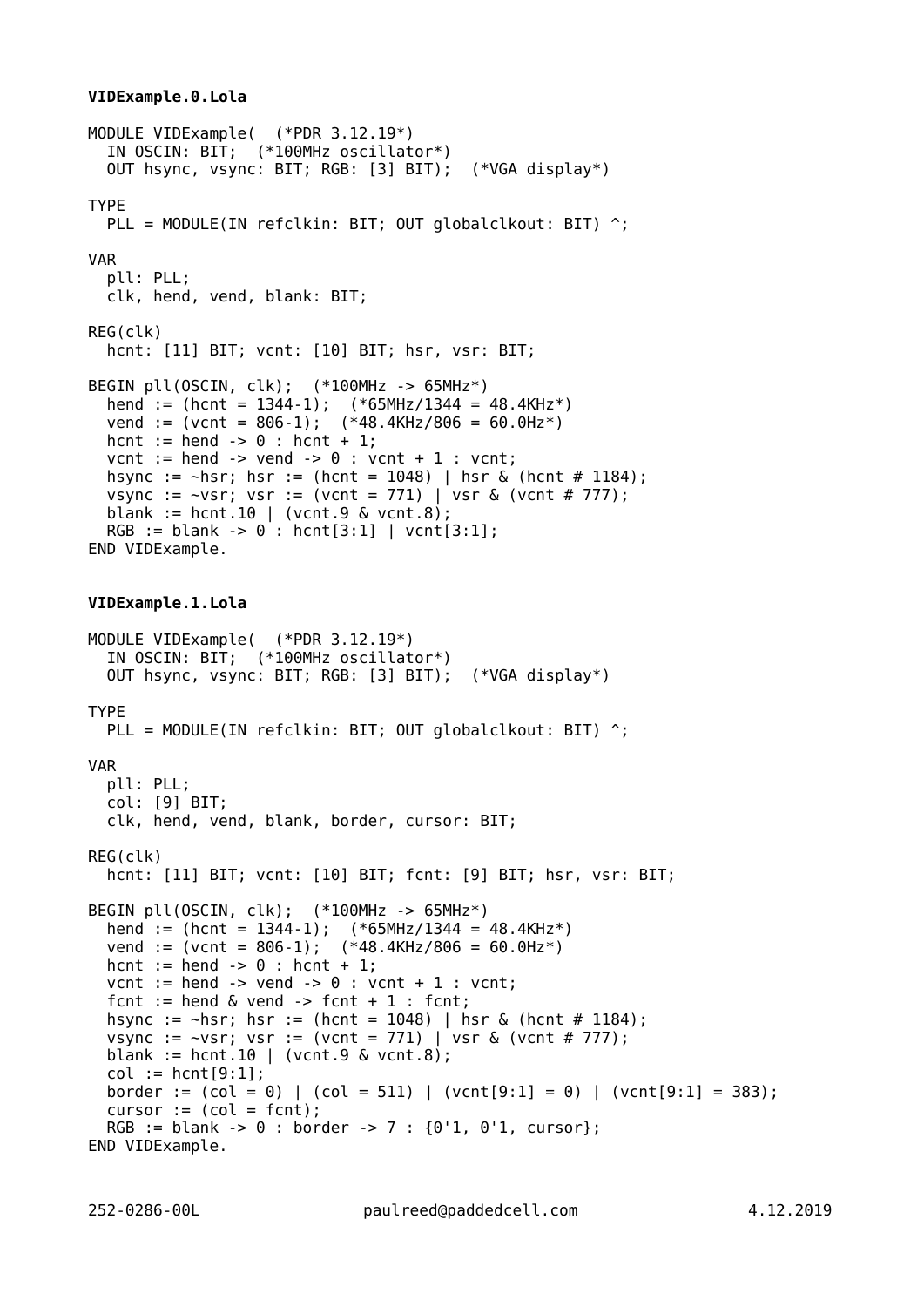## **VIDExample.0.Lola**

```
MODULE VIDExample( (*PDR 3.12.19*)
   IN OSCIN: BIT; (*100MHz oscillator*)
   OUT hsync, vsync: BIT; RGB: [3] BIT); (*VGA display*)
TYPE
  PLL = MODULE(IN refclkin: BIT; OUT globalclkout: BIT) ^;
VAR
   pll: PLL;
   clk, hend, vend, blank: BIT;
REG(clk)
   hcnt: [11] BIT; vcnt: [10] BIT; hsr, vsr: BIT;
BEGIN pll(OSCIN, clk); (*100MHz -> 65MHz*)
  hend := (hcnt = 1344-1); (*65MHz/1344 = 48.4kHz*)vend := (\text{vent} = 806-1); (*48.4\text{KHz}/806 = 60.0\text{Hz*})hcnt := hend \rightarrow 0 : hcnt + 1:
  vcnt := hend \rightarrow vend \rightarrow 0 : vcnt + 1 : vcnt;
  hsync := \text{-} \text{hsr}; hsr := (hcnt = 1048) | hsr & (hcnt # 1184);
  vsync := \simvsr; vsr := (vcnt = 771) | vsr & (vcnt # 777);
  blank := hcnt.10 | (vcnt.9 & vcnt.8);
  RGB := blank \rightarrow 0 : hcnt[3:1] | vcnt[3:1];
END VIDExample.
VIDExample.1.Lola
MODULE VIDExample( (*PDR 3.12.19*)
   IN OSCIN: BIT; (*100MHz oscillator*)
   OUT hsync, vsync: BIT; RGB: [3] BIT); (*VGA display*)
TYPE
  PLL = MODULE(IN refclkin: BIT; OUT globalclkout: BIT) ^;
VAR
   pll: PLL;
   col: [9] BIT;
   clk, hend, vend, blank, border, cursor: BIT;
REG(clk)
   hcnt: [11] BIT; vcnt: [10] BIT; fcnt: [9] BIT; hsr, vsr: BIT;
BEGIN pll(OSCIN, clk); (*100MHz -> 65MHz*)
  hend := (hcnt = 1344-1); (*65MHz/1344 = 48.4kHz*) vend := (vcnt = 806-1); (*48.4KHz/806 = 60.0Hz*)
hcnt := hend \rightarrow 0 : hcnt + 1;
  vcnt := hend \rightarrow vend \rightarrow 0 : vcnt + 1 : vcnt;
  fcnt := hend \& vend -> fcnt + 1 : fcnt;
   hsync := ~hsr; hsr := (hcnt = 1048) | hsr & (hcnt # 1184);
  vsync := \simvsr; vsr := (vcnt = 771) | vsr & (vcnt # 777);
  blank := hcnt.10 | (vcnt.9 & vcnt.8);
  col := hcnt[9:1];border := \text{(col = 0)} | \text{(col = 511)} | \text{(vent[9:1] = 0)} | \text{(vent[9:1] = 383)};
  cursor :=(col = fort);RGB := blank -> 0 : border -> 7 : {0'1, 0'1, cursor};
END VIDExample.
```